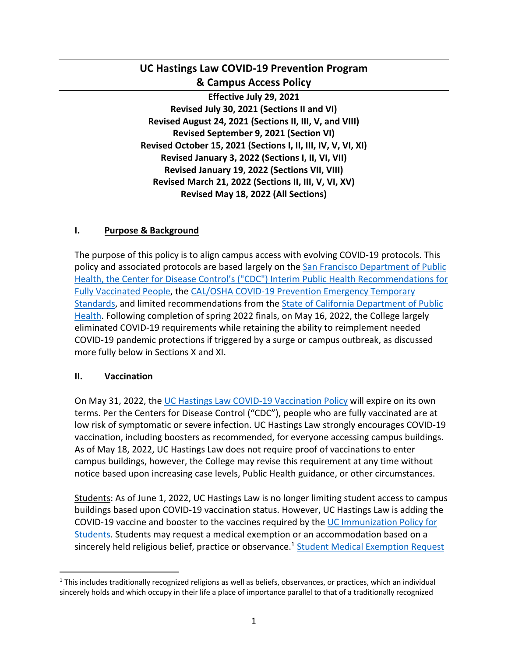# **UC Hastings Law COVID-19 Prevention Program & Campus Access Policy**

**Effective July 29, 2021 Revised July 30, 2021 (Sections II and VI) Revised August 24, 2021 (Sections II, III, V, and VIII) Revised September 9, 2021 (Section VI) Revised October 15, 2021 (Sections I, II, III, IV, V, VI, XI) Revised January 3, 2022 (Sections I, II, VI, VII) Revised January 19, 2022 (Sections VII, VIII) Revised March 21, 2022 (Sections II, III, V, VI, XV) Revised May 18, 2022 (All Sections)**

## **I. Purpose & Background**

The purpose of this policy is to align campus access with evolving COVID-19 protocols. This policy and associated protocols are based largely on the San Francisco Department of Public Health, the Center for Disease Control's ("CDC") Interim Public Health Recommendations for Fully Vaccinated People, the CAL/OSHA COVID-19 Prevention Emergency Temporary Standards, and limited recommendations from the State of California Department of Public Health. Following completion of spring 2022 finals, on May 16, 2022, the College largely eliminated COVID-19 requirements while retaining the ability to reimplement needed COVID-19 pandemic protections if triggered by a surge or campus outbreak, as discussed more fully below in Sections X and XI.

## **II. Vaccination**

On May 31, 2022, the UC Hastings Law COVID-19 Vaccination Policy will expire on its own terms. Per the Centers for Disease Control ("CDC"), people who are fully vaccinated are at low risk of symptomatic or severe infection. UC Hastings Law strongly encourages COVID-19 vaccination, including boosters as recommended, for everyone accessing campus buildings. As of May 18, 2022, UC Hastings Law does not require proof of vaccinations to enter campus buildings, however, the College may revise this requirement at any time without notice based upon increasing case levels, Public Health guidance, or other circumstances.

Students: As of June 1, 2022, UC Hastings Law is no longer limiting student access to campus buildings based upon COVID-19 vaccination status. However, UC Hastings Law is adding the COVID-19 vaccine and booster to the vaccines required by the UC Immunization Policy for Students. Students may request a medical exemption or an accommodation based on a sincerely held religious belief, practice or observance.<sup>1</sup> Student Medical Exemption Request

 $1$  This includes traditionally recognized religions as well as beliefs, observances, or practices, which an individual sincerely holds and which occupy in their life a place of importance parallel to that of a traditionally recognized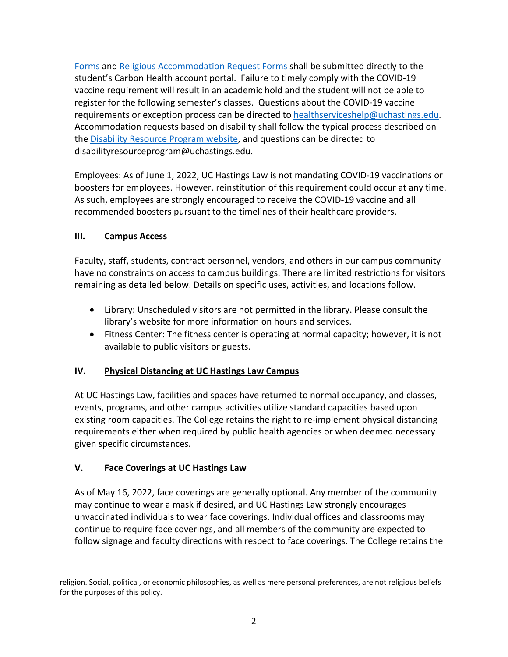Forms and Religious Accommodation Request Forms shall be submitted directly to the student's Carbon Health account portal. Failure to timely comply with the COVID-19 vaccine requirement will result in an academic hold and the student will not be able to register for the following semester's classes. Questions about the COVID-19 vaccine requirements or exception process can be directed to healthserviceshelp@uchastings.edu. Accommodation requests based on disability shall follow the typical process described on the Disability Resource Program website, and questions can be directed to disabilityresourceprogram@uchastings.edu.

Employees: As of June 1, 2022, UC Hastings Law is not mandating COVID-19 vaccinations or boosters for employees. However, reinstitution of this requirement could occur at any time. As such, employees are strongly encouraged to receive the COVID-19 vaccine and all recommended boosters pursuant to the timelines of their healthcare providers.

## **III. Campus Access**

Faculty, staff, students, contract personnel, vendors, and others in our campus community have no constraints on access to campus buildings. There are limited restrictions for visitors remaining as detailed below. Details on specific uses, activities, and locations follow.

- Library: Unscheduled visitors are not permitted in the library. Please consult the library's website for more information on hours and services.
- Fitness Center: The fitness center is operating at normal capacity; however, it is not available to public visitors or guests.

## **IV. Physical Distancing at UC Hastings Law Campus**

At UC Hastings Law, facilities and spaces have returned to normal occupancy, and classes, events, programs, and other campus activities utilize standard capacities based upon existing room capacities. The College retains the right to re-implement physical distancing requirements either when required by public health agencies or when deemed necessary given specific circumstances.

## **V. Face Coverings at UC Hastings Law**

As of May 16, 2022, face coverings are generally optional. Any member of the community may continue to wear a mask if desired, and UC Hastings Law strongly encourages unvaccinated individuals to wear face coverings. Individual offices and classrooms may continue to require face coverings, and all members of the community are expected to follow signage and faculty directions with respect to face coverings. The College retains the

religion. Social, political, or economic philosophies, as well as mere personal preferences, are not religious beliefs for the purposes of this policy.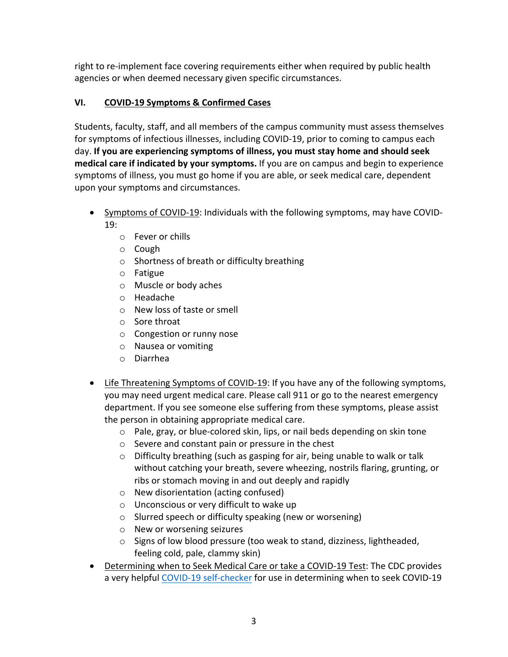right to re-implement face covering requirements either when required by public health agencies or when deemed necessary given specific circumstances.

# **VI. COVID-19 Symptoms & Confirmed Cases**

Students, faculty, staff, and all members of the campus community must assess themselves for symptoms of infectious illnesses, including COVID-19, prior to coming to campus each day. **If you are experiencing symptoms of illness, you must stay home and should seek medical care if indicated by your symptoms.** If you are on campus and begin to experience symptoms of illness, you must go home if you are able, or seek medical care, dependent upon your symptoms and circumstances.

- Symptoms of COVID-19: Individuals with the following symptoms, may have COVID-19:
	- o Fever or chills
	- o Cough
	- o Shortness of breath or difficulty breathing
	- o Fatigue
	- o Muscle or body aches
	- o Headache
	- o New loss of taste or smell
	- o Sore throat
	- o Congestion or runny nose
	- o Nausea or vomiting
	- o Diarrhea
- Life Threatening Symptoms of COVID-19: If you have any of the following symptoms, you may need urgent medical care. Please call 911 or go to the nearest emergency department. If you see someone else suffering from these symptoms, please assist the person in obtaining appropriate medical care.
	- $\circ$  Pale, gray, or blue-colored skin, lips, or nail beds depending on skin tone
	- o Severe and constant pain or pressure in the chest
	- o Difficulty breathing (such as gasping for air, being unable to walk or talk without catching your breath, severe wheezing, nostrils flaring, grunting, or ribs or stomach moving in and out deeply and rapidly
	- o New disorientation (acting confused)
	- o Unconscious or very difficult to wake up
	- o Slurred speech or difficulty speaking (new or worsening)
	- o New or worsening seizures
	- o Signs of low blood pressure (too weak to stand, dizziness, lightheaded, feeling cold, pale, clammy skin)
- Determining when to Seek Medical Care or take a COVID-19 Test: The CDC provides a very helpful COVID-19 self-checker for use in determining when to seek COVID-19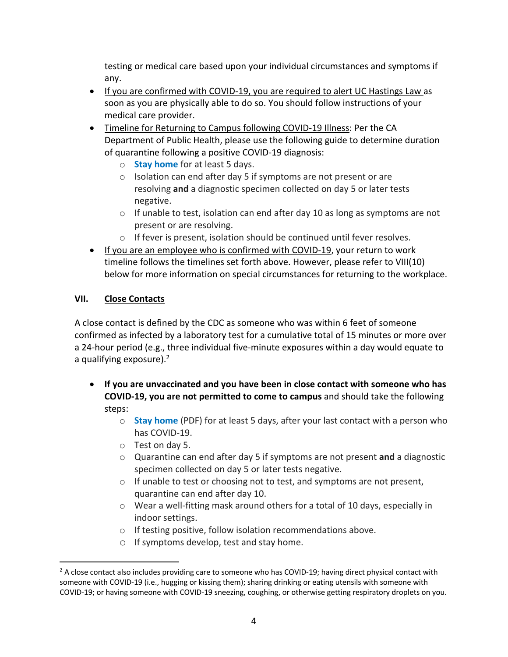testing or medical care based upon your individual circumstances and symptoms if any.

- If you are confirmed with COVID-19, you are required to alert UC Hastings Law as soon as you are physically able to do so. You should follow instructions of your medical care provider.
- Timeline for Returning to Campus following COVID-19 Illness: Per the CA Department of Public Health, please use the following guide to determine duration of quarantine following a positive COVID-19 diagnosis:
	- o **Stay home** for at least 5 days.
	- o Isolation can end after day 5 if symptoms are not present or are resolving **and** a diagnostic specimen collected on day 5 or later tests negative.
	- $\circ$  If unable to test, isolation can end after day 10 as long as symptoms are not present or are resolving.
	- o If fever is present, isolation should be continued until fever resolves.
- If you are an employee who is confirmed with COVID-19, your return to work timeline follows the timelines set forth above. However, please refer to VIII(10) below for more information on special circumstances for returning to the workplace.

# **VII. Close Contacts**

A close contact is defined by the CDC as someone who was within 6 feet of someone confirmed as infected by a laboratory test for a cumulative total of 15 minutes or more over a 24-hour period (e.g., three individual five-minute exposures within a day would equate to a qualifying exposure).<sup>2</sup>

- **If you are unvaccinated and you have been in close contact with someone who has COVID-19, you are not permitted to come to campus** and should take the following steps:
	- o **Stay home** (PDF) for at least 5 days, after your last contact with a person who has COVID-19.
	- o Test on day 5.
	- o Quarantine can end after day 5 if symptoms are not present **and** a diagnostic specimen collected on day 5 or later tests negative.
	- o If unable to test or choosing not to test, and symptoms are not present, quarantine can end after day 10.
	- o Wear a well-fitting mask around others for a total of 10 days, especially in indoor settings.
	- o If testing positive, follow isolation recommendations above.
	- o If symptoms develop, test and stay home.

 $2$  A close contact also includes providing care to someone who has COVID-19; having direct physical contact with someone with COVID-19 (i.e., hugging or kissing them); sharing drinking or eating utensils with someone with COVID-19; or having someone with COVID-19 sneezing, coughing, or otherwise getting respiratory droplets on you.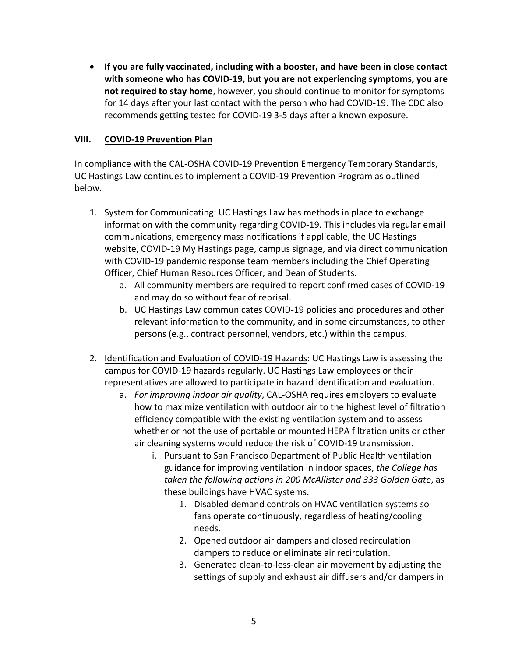• **If you are fully vaccinated, including with a booster, and have been in close contact with someone who has COVID-19, but you are not experiencing symptoms, you are not required to stay home**, however, you should continue to monitor for symptoms for 14 days after your last contact with the person who had COVID-19. The CDC also recommends getting tested for COVID-19 3-5 days after a known exposure.

### **VIII. COVID-19 Prevention Plan**

In compliance with the CAL-OSHA COVID-19 Prevention Emergency Temporary Standards, UC Hastings Law continues to implement a COVID-19 Prevention Program as outlined below.

- 1. System for Communicating: UC Hastings Law has methods in place to exchange information with the community regarding COVID-19. This includes via regular email communications, emergency mass notifications if applicable, the UC Hastings website, COVID-19 My Hastings page, campus signage, and via direct communication with COVID-19 pandemic response team members including the Chief Operating Officer, Chief Human Resources Officer, and Dean of Students.
	- a. All community members are required to report confirmed cases of COVID-19 and may do so without fear of reprisal.
	- b. UC Hastings Law communicates COVID-19 policies and procedures and other relevant information to the community, and in some circumstances, to other persons (e.g., contract personnel, vendors, etc.) within the campus.
- 2. Identification and Evaluation of COVID-19 Hazards: UC Hastings Law is assessing the campus for COVID-19 hazards regularly. UC Hastings Law employees or their representatives are allowed to participate in hazard identification and evaluation.
	- a. *For improving indoor air quality*, CAL-OSHA requires employers to evaluate how to maximize ventilation with outdoor air to the highest level of filtration efficiency compatible with the existing ventilation system and to assess whether or not the use of portable or mounted HEPA filtration units or other air cleaning systems would reduce the risk of COVID-19 transmission.
		- i. Pursuant to San Francisco Department of Public Health ventilation guidance for improving ventilation in indoor spaces, *the College has taken the following actions in 200 McAllister and 333 Golden Gate*, as these buildings have HVAC systems.
			- 1. Disabled demand controls on HVAC ventilation systems so fans operate continuously, regardless of heating/cooling needs.
			- 2. Opened outdoor air dampers and closed recirculation dampers to reduce or eliminate air recirculation.
			- 3. Generated clean-to-less-clean air movement by adjusting the settings of supply and exhaust air diffusers and/or dampers in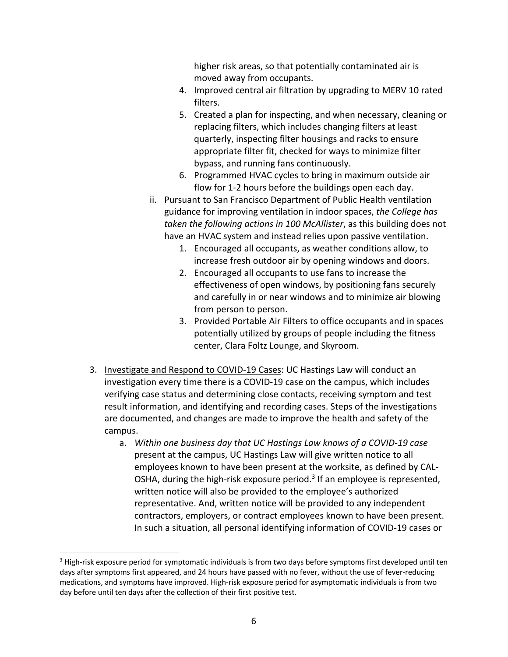higher risk areas, so that potentially contaminated air is moved away from occupants.

- 4. Improved central air filtration by upgrading to MERV 10 rated filters.
- 5. Created a plan for inspecting, and when necessary, cleaning or replacing filters, which includes changing filters at least quarterly, inspecting filter housings and racks to ensure appropriate filter fit, checked for ways to minimize filter bypass, and running fans continuously.
- 6. Programmed HVAC cycles to bring in maximum outside air flow for 1-2 hours before the buildings open each day.
- ii. Pursuant to San Francisco Department of Public Health ventilation guidance for improving ventilation in indoor spaces, *the College has taken the following actions in 100 McAllister*, as this building does not have an HVAC system and instead relies upon passive ventilation.
	- 1. Encouraged all occupants, as weather conditions allow, to increase fresh outdoor air by opening windows and doors.
	- 2. Encouraged all occupants to use fans to increase the effectiveness of open windows, by positioning fans securely and carefully in or near windows and to minimize air blowing from person to person.
	- 3. Provided Portable Air Filters to office occupants and in spaces potentially utilized by groups of people including the fitness center, Clara Foltz Lounge, and Skyroom.
- 3. Investigate and Respond to COVID-19 Cases: UC Hastings Law will conduct an investigation every time there is a COVID-19 case on the campus, which includes verifying case status and determining close contacts, receiving symptom and test result information, and identifying and recording cases. Steps of the investigations are documented, and changes are made to improve the health and safety of the campus.
	- a. *Within one business day that UC Hastings Law knows of a COVID-19 case* present at the campus, UC Hastings Law will give written notice to all employees known to have been present at the worksite, as defined by CAL-OSHA, during the high-risk exposure period.<sup>3</sup> If an employee is represented, written notice will also be provided to the employee's authorized representative. And, written notice will be provided to any independent contractors, employers, or contract employees known to have been present. In such a situation, all personal identifying information of COVID-19 cases or

<sup>&</sup>lt;sup>3</sup> High-risk exposure period for symptomatic individuals is from two days before symptoms first developed until ten days after symptoms first appeared, and 24 hours have passed with no fever, without the use of fever-reducing medications, and symptoms have improved. High-risk exposure period for asymptomatic individuals is from two day before until ten days after the collection of their first positive test.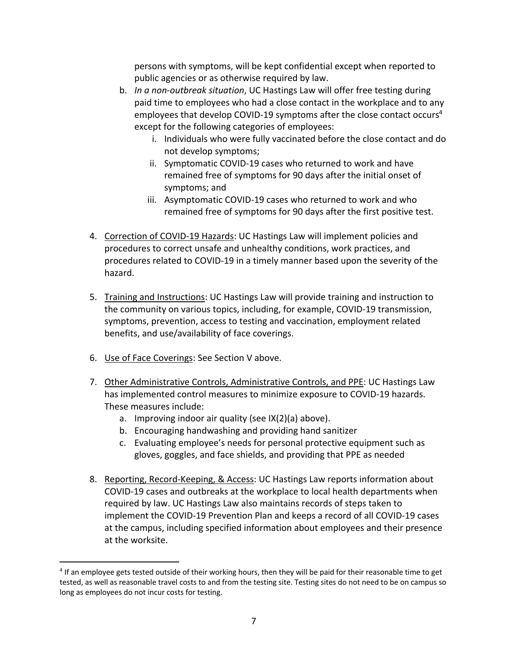persons with symptoms, will be kept confidential except when reported to public agencies or as otherwise required by law.

- b. *In a non-outbreak situation*, UC Hastings Law will offer free testing during paid time to employees who had a close contact in the workplace and to any employees that develop COVID-19 symptoms after the close contact occurs<sup>4</sup> except for the following categories of employees:
	- i. Individuals who were fully vaccinated before the close contact and do not develop symptoms;
	- ii. Symptomatic COVID-19 cases who returned to work and have remained free of symptoms for 90 days after the initial onset of symptoms; and
	- iii. Asymptomatic COVID-19 cases who returned to work and who remained free of symptoms for 90 days after the first positive test.
- 4. Correction of COVID-19 Hazards: UC Hastings Law will implement policies and procedures to correct unsafe and unhealthy conditions, work practices, and procedures related to COVID-19 in a timely manner based upon the severity of the hazard.
- 5. Training and Instructions: UC Hastings Law will provide training and instruction to the community on various topics, including, for example, COVID-19 transmission, symptoms, prevention, access to testing and vaccination, employment related benefits, and use/availability of face coverings.
- 6. Use of Face Coverings: See Section V above.
- 7. Other Administrative Controls, Administrative Controls, and PPE: UC Hastings Law has implemented control measures to minimize exposure to COVID-19 hazards. These measures include:
	- a. Improving indoor air quality (see IX(2)(a) above).
	- b. Encouraging handwashing and providing hand sanitizer
	- c. Evaluating employee's needs for personal protective equipment such as gloves, goggles, and face shields, and providing that PPE as needed
- 8. Reporting, Record-Keeping, & Access: UC Hastings Law reports information about COVID-19 cases and outbreaks at the workplace to local health departments when required by law. UC Hastings Law also maintains records of steps taken to implement the COVID-19 Prevention Plan and keeps a record of all COVID-19 cases at the campus, including specified information about employees and their presence at the worksite.

<sup>&</sup>lt;sup>4</sup> If an employee gets tested outside of their working hours, then they will be paid for their reasonable time to get tested, as well as reasonable travel costs to and from the testing site. Testing sites do not need to be on campus so long as employees do not incur costs for testing.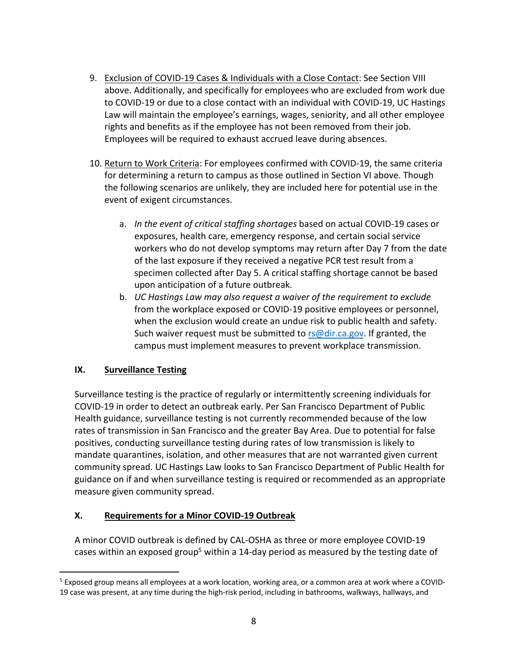- 9. Exclusion of COVID-19 Cases & Individuals with a Close Contact: See Section VIII above. Additionally, and specifically for employees who are excluded from work due to COVID-19 or due to a close contact with an individual with COVID-19, UC Hastings Law will maintain the employee's earnings, wages, seniority, and all other employee rights and benefits as if the employee has not been removed from their job. Employees will be required to exhaust accrued leave during absences.
- 10. Return to Work Criteria: For employees confirmed with COVID-19, the same criteria for determining a return to campus as those outlined in Section VI above. Though the following scenarios are unlikely, they are included here for potential use in the event of exigent circumstances.
	- a. *In the event of critical staffing shortages* based on actual COVID-19 cases or exposures, health care, emergency response, and certain social service workers who do not develop symptoms may return after Day 7 from the date of the last exposure if they received a negative PCR test result from a specimen collected after Day 5. A critical staffing shortage cannot be based upon anticipation of a future outbreak.
	- b. *UC Hastings Law may also request a waiver of the requirement to exclude* from the workplace exposed or COVID-19 positive employees or personnel, when the exclusion would create an undue risk to public health and safety. Such waiver request must be submitted to rs@dir.ca.gov. If granted, the campus must implement measures to prevent workplace transmission.

#### **IX. Surveillance Testing**

Surveillance testing is the practice of regularly or intermittently screening individuals for COVID-19 in order to detect an outbreak early. Per San Francisco Department of Public Health guidance, surveillance testing is not currently recommended because of the low rates of transmission in San Francisco and the greater Bay Area. Due to potential for false positives, conducting surveillance testing during rates of low transmission is likely to mandate quarantines, isolation, and other measures that are not warranted given current community spread. UC Hastings Law looks to San Francisco Department of Public Health for guidance on if and when surveillance testing is required or recommended as an appropriate measure given community spread.

## **X. Requirements for a Minor COVID-19 Outbreak**

A minor COVID outbreak is defined by CAL-OSHA as three or more employee COVID-19 cases within an exposed group<sup>5</sup> within a 14-day period as measured by the testing date of

<sup>5</sup> Exposed group means all employees at a work location, working area, or a common area at work where a COVID-19 case was present, at any time during the high-risk period, including in bathrooms, walkways, hallways, and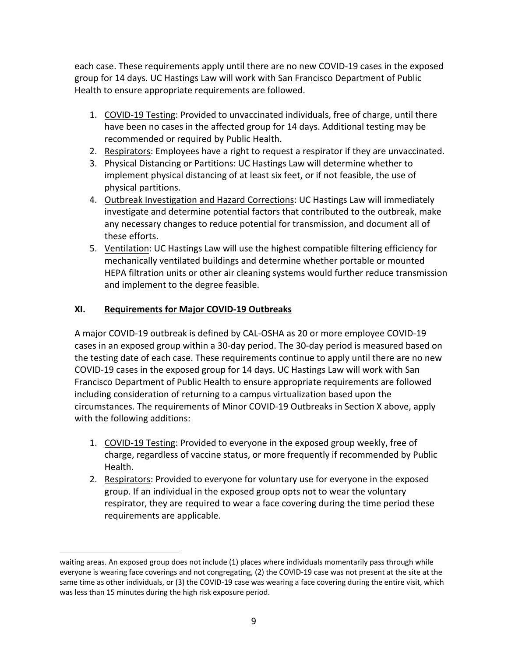each case. These requirements apply until there are no new COVID-19 cases in the exposed group for 14 days. UC Hastings Law will work with San Francisco Department of Public Health to ensure appropriate requirements are followed.

- 1. COVID-19 Testing: Provided to unvaccinated individuals, free of charge, until there have been no cases in the affected group for 14 days. Additional testing may be recommended or required by Public Health.
- 2. Respirators: Employees have a right to request a respirator if they are unvaccinated.
- 3. Physical Distancing or Partitions: UC Hastings Law will determine whether to implement physical distancing of at least six feet, or if not feasible, the use of physical partitions.
- 4. Outbreak Investigation and Hazard Corrections: UC Hastings Law will immediately investigate and determine potential factors that contributed to the outbreak, make any necessary changes to reduce potential for transmission, and document all of these efforts.
- 5. Ventilation: UC Hastings Law will use the highest compatible filtering efficiency for mechanically ventilated buildings and determine whether portable or mounted HEPA filtration units or other air cleaning systems would further reduce transmission and implement to the degree feasible.

### **XI. Requirements for Major COVID-19 Outbreaks**

A major COVID-19 outbreak is defined by CAL-OSHA as 20 or more employee COVID-19 cases in an exposed group within a 30-day period. The 30-day period is measured based on the testing date of each case. These requirements continue to apply until there are no new COVID-19 cases in the exposed group for 14 days. UC Hastings Law will work with San Francisco Department of Public Health to ensure appropriate requirements are followed including consideration of returning to a campus virtualization based upon the circumstances. The requirements of Minor COVID-19 Outbreaks in Section X above, apply with the following additions:

- 1. COVID-19 Testing: Provided to everyone in the exposed group weekly, free of charge, regardless of vaccine status, or more frequently if recommended by Public Health.
- 2. Respirators: Provided to everyone for voluntary use for everyone in the exposed group. If an individual in the exposed group opts not to wear the voluntary respirator, they are required to wear a face covering during the time period these requirements are applicable.

waiting areas. An exposed group does not include (1) places where individuals momentarily pass through while everyone is wearing face coverings and not congregating, (2) the COVID-19 case was not present at the site at the same time as other individuals, or (3) the COVID-19 case was wearing a face covering during the entire visit, which was less than 15 minutes during the high risk exposure period.